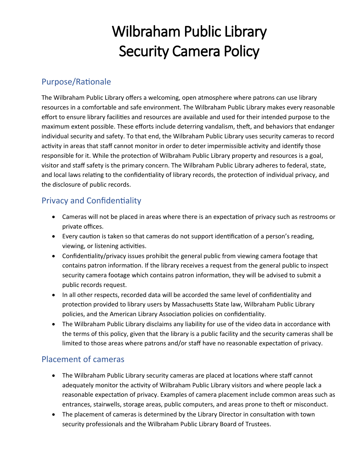# Wilbraham Public Library Security Camera Policy

### Purpose/Rationale

The Wilbraham Public Library offers a welcoming, open atmosphere where patrons can use library resources in a comfortable and safe environment. The Wilbraham Public Library makes every reasonable effort to ensure library facilities and resources are available and used for their intended purpose to the maximum extent possible. These efforts include deterring vandalism, theft, and behaviors that endanger individual security and safety. To that end, the Wilbraham Public Library uses security cameras to record activity in areas that staff cannot monitor in order to deter impermissible activity and identify those responsible for it. While the protection of Wilbraham Public Library property and resources is a goal, visitor and staff safety is the primary concern. The Wilbraham Public Library adheres to federal, state, and local laws relating to the confidentiality of library records, the protection of individual privacy, and the disclosure of public records.

## Privacy and Confidentiality

- Cameras will not be placed in areas where there is an expectation of privacy such as restrooms or private offices.
- Every caution is taken so that cameras do not support identification of a person's reading, viewing, or listening activities.
- Confidentiality/privacy issues prohibit the general public from viewing camera footage that contains patron information. If the library receives a request from the general public to inspect security camera footage which contains patron information, they will be advised to submit a public records request.
- In all other respects, recorded data will be accorded the same level of confidentiality and protection provided to library users by Massachusetts State law, Wilbraham Public Library policies, and the American Library Association policies on confidentiality.
- The Wilbraham Public Library disclaims any liability for use of the video data in accordance with the terms of this policy, given that the library is a public facility and the security cameras shall be limited to those areas where patrons and/or staff have no reasonable expectation of privacy.

## Placement of cameras

- The Wilbraham Public Library security cameras are placed at locations where staff cannot adequately monitor the activity of Wilbraham Public Library visitors and where people lack a reasonable expectation of privacy. Examples of camera placement include common areas such as entrances, stairwells, storage areas, public computers, and areas prone to theft or misconduct.
- The placement of cameras is determined by the Library Director in consultation with town security professionals and the Wilbraham Public Library Board of Trustees.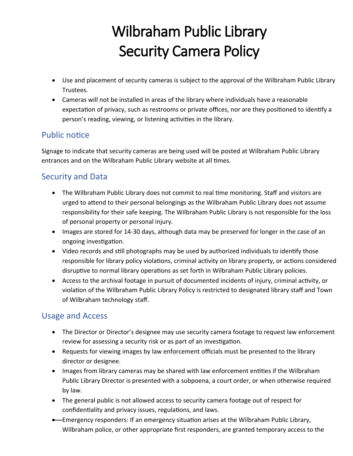# Wilbraham Public Library Security Camera Policy

- Use and placement of security cameras is subject to the approval of the Wilbraham Public Library Trustees.
- Cameras will not be installed in areas of the library where individuals have a reasonable expectation of privacy, such as restrooms or private offices, nor are they positioned to identify a person's reading, viewing, or listening activities in the library.

### Public notice

Signage to indicate that security cameras are being used will be posted at Wilbraham Public Library entrances and on the Wilbraham Public Library website at all times.

## Security and Data

- The Wilbraham Public Library does not commit to real time monitoring. Staff and visitors are urged to attend to their personal belongings as the Wilbraham Public Library does not assume responsibility for their safe keeping. The Wilbraham Public Library is not responsible for the loss of personal property or personal injury.
- Images are stored for 14-30 days, although data may be preserved for longer in the case of an ongoing investigation.
- Video records and still photographs may be used by authorized individuals to identify those responsible for library policy violations, criminal activity on library property, or actions considered disruptive to normal library operations as set forth in Wilbraham Public Library policies.
- Access to the archival footage in pursuit of documented incidents of injury, criminal activity, or violation of the Wilbraham Public Library Policy is restricted to designated library staff and Town of Wilbraham technology staff.

## Usage and Access

- The Director or Director's designee may use security camera footage to request law enforcement review for assessing a security risk or as part of an investigation.
- Requests for viewing images by law enforcement officials must be presented to the library director or designee.
- Images from library cameras may be shared with law enforcement entities if the Wilbraham Public Library Director is presented with a subpoena, a court order, or when otherwise required by law.
- The general public is not allowed access to security camera footage out of respect for confidentiality and privacy issues, regulations, and laws.
- Emergency responders: If an emergency situation arises at the Wilbraham Public Library, Wilbraham police, or other appropriate first responders, are granted temporary access to the